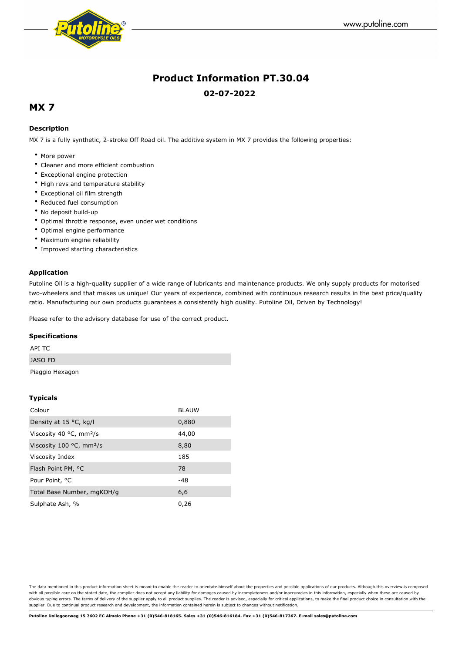



# **Product Information PT.30.04 02-07-2022**

## **MX 7**

### **Description**

MX 7 is a fully synthetic, 2-stroke Off Road oil. The additive system in MX 7 provides the following properties:

- More power
- Cleaner and more efficient combustion
- Exceptional engine protection
- High revs and temperature stability
- Exceptional oil film strength
- Reduced fuel consumption
- No deposit build-up
- Optimal throttle response, even under wet conditions
- Optimal engine performance
- Maximum engine reliability
- Improved starting characteristics

#### **Application**

Putoline Oil is a high-quality supplier of a wide range of lubricants and maintenance products. We only supply products for motorised two-wheelers and that makes us unique! Our years of experience, combined with continuous research results in the best price/quality ratio. Manufacturing our own products guarantees a consistently high quality. Putoline Oil, Driven by Technology!

Please refer to the advisory database for use of the correct product.

#### **Specifications**

| API TC          |  |  |
|-----------------|--|--|
| <b>JASO FD</b>  |  |  |
| Piaggio Hexagon |  |  |

#### **Typicals**

| Colour                                       | <b>BLAUW</b> |
|----------------------------------------------|--------------|
| Density at 15 $\degree$ C, kg/l              | 0,880        |
| Viscosity 40 $\degree$ C, mm <sup>2</sup> /s | 44,00        |
| Viscosity 100 $°C$ , mm <sup>2</sup> /s      | 8,80         |
| Viscosity Index                              | 185          |
| Flash Point PM, °C                           | 78           |
| Pour Point, <sup>o</sup> C                   | -48          |
| Total Base Number, mgKOH/g                   | 6,6          |
| Sulphate Ash, %                              | 0,26         |

The data mentioned in this product information sheet is meant to enable the reader to orientate himself about the properties and possible applications of our products. Although this overview is composed with all possible care on the stated date, the compiler does not accept any liability for damages caused by incompleteness and/or inaccuracies in this information, especially when these are caused by obvious typing errors. The terms of delivery of the supplier apply to all product supplies. The reader is advised, especially for critical applications, to make the final product choice in consultation with the supplier. Due to continual product research and development, the information contained herein is subject to changes without notification.